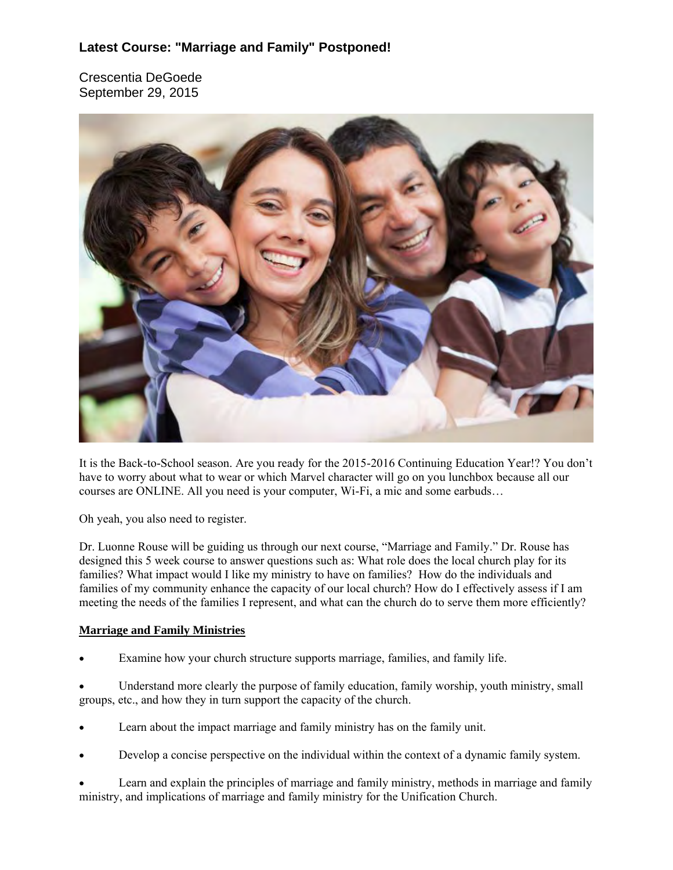## **Latest Course: "Marriage and Family" Postponed!**

Crescentia DeGoede September 29, 2015



It is the Back-to-School season. Are you ready for the 2015-2016 Continuing Education Year!? You don't have to worry about what to wear or which Marvel character will go on you lunchbox because all our courses are ONLINE. All you need is your computer, Wi-Fi, a mic and some earbuds…

Oh yeah, you also need to register.

Dr. Luonne Rouse will be guiding us through our next course, "Marriage and Family." Dr. Rouse has designed this 5 week course to answer questions such as: What role does the local church play for its families? What impact would I like my ministry to have on families? How do the individuals and families of my community enhance the capacity of our local church? How do I effectively assess if I am meeting the needs of the families I represent, and what can the church do to serve them more efficiently?

#### **Marriage and Family Ministries**

Examine how your church structure supports marriage, families, and family life.

 Understand more clearly the purpose of family education, family worship, youth ministry, small groups, etc., and how they in turn support the capacity of the church.

- Learn about the impact marriage and family ministry has on the family unit.
- Develop a concise perspective on the individual within the context of a dynamic family system.

 Learn and explain the principles of marriage and family ministry, methods in marriage and family ministry, and implications of marriage and family ministry for the Unification Church.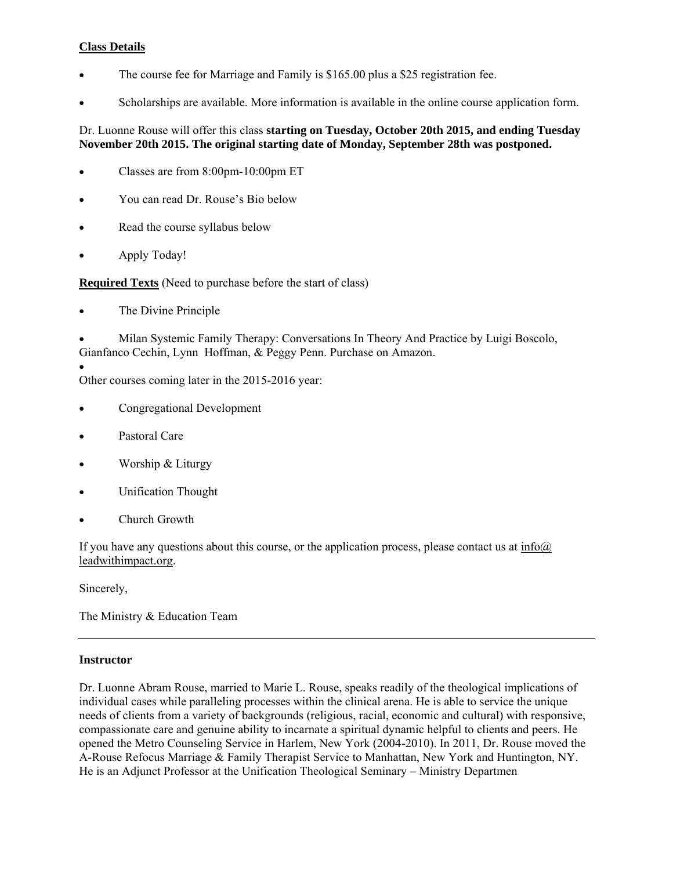#### **Class Details**

- The course fee for Marriage and Family is \$165.00 plus a \$25 registration fee.
- Scholarships are available. More information is available in the online course application form.

#### Dr. Luonne Rouse will offer this class **starting on Tuesday, October 20th 2015, and ending Tuesday November 20th 2015. The original starting date of Monday, September 28th was postponed.**

- Classes are from 8:00pm-10:00pm ET
- You can read Dr. Rouse's Bio below
- Read the course syllabus below
- Apply Today!

**Required Texts** (Need to purchase before the start of class)

The Divine Principle

 Milan Systemic Family Therapy: Conversations In Theory And Practice by Luigi Boscolo, Gianfanco Cechin, Lynn Hoffman, & Peggy Penn. Purchase on Amazon.

 $\bullet$ Other courses coming later in the 2015-2016 year:

- Congregational Development
- Pastoral Care
- Worship & Liturgy
- Unification Thought
- Church Growth

If you have any questions about this course, or the application process, please contact us at  $info(\hat{a})$ leadwithimpact.org.

Sincerely,

The Ministry & Education Team

#### **Instructor**

Dr. Luonne Abram Rouse, married to Marie L. Rouse, speaks readily of the theological implications of individual cases while paralleling processes within the clinical arena. He is able to service the unique needs of clients from a variety of backgrounds (religious, racial, economic and cultural) with responsive, compassionate care and genuine ability to incarnate a spiritual dynamic helpful to clients and peers. He opened the Metro Counseling Service in Harlem, New York (2004-2010). In 2011, Dr. Rouse moved the A-Rouse Refocus Marriage & Family Therapist Service to Manhattan, New York and Huntington, NY. He is an Adjunct Professor at the Unification Theological Seminary – Ministry Departmen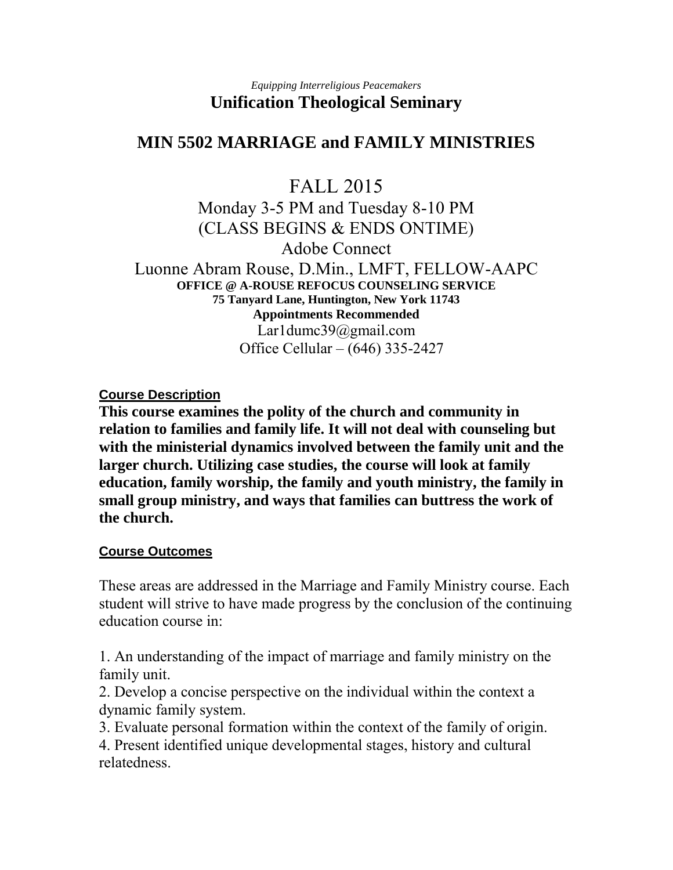### *Equipping Interreligious Peacemakers*  **Unification Theological Seminary**

# **MIN 5502 MARRIAGE and FAMILY MINISTRIES**

# FALL 2015

Monday 3-5 PM and Tuesday 8-10 PM (CLASS BEGINS & ENDS ONTIME) Adobe Connect Luonne Abram Rouse, D.Min., LMFT, FELLOW-AAPC **OFFICE @ A-ROUSE REFOCUS COUNSELING SERVICE 75 Tanyard Lane, Huntington, New York 11743 Appointments Recommended**  Lar1dumc39@gmail.com Office Cellular – (646) 335-2427

**Course Description** 

**This course examines the polity of the church and community in relation to families and family life. It will not deal with counseling but with the ministerial dynamics involved between the family unit and the larger church. Utilizing case studies, the course will look at family education, family worship, the family and youth ministry, the family in small group ministry, and ways that families can buttress the work of the church.**

## **Course Outcomes**

These areas are addressed in the Marriage and Family Ministry course. Each student will strive to have made progress by the conclusion of the continuing education course in:

1. An understanding of the impact of marriage and family ministry on the family unit.

2. Develop a concise perspective on the individual within the context a dynamic family system.

3. Evaluate personal formation within the context of the family of origin.

4. Present identified unique developmental stages, history and cultural relatedness.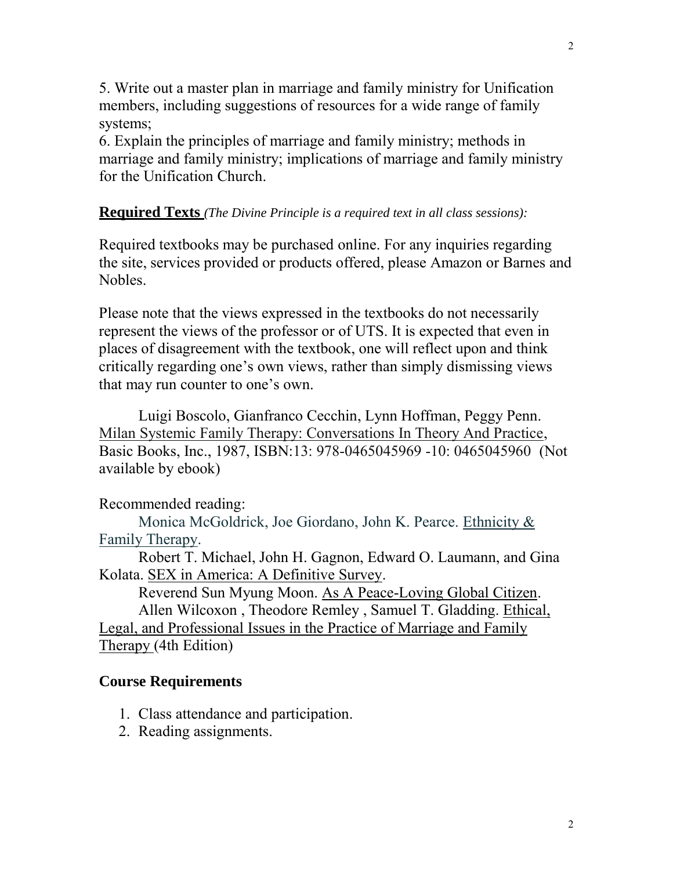5. Write out a master plan in marriage and family ministry for Unification members, including suggestions of resources for a wide range of family systems;

6. Explain the principles of marriage and family ministry; methods in marriage and family ministry; implications of marriage and family ministry for the Unification Church.

## **Required Texts** *(The Divine Principle is a required text in all class sessions):*

Required textbooks may be purchased online. For any inquiries regarding the site, services provided or products offered, please Amazon or Barnes and Nobles.

Please note that the views expressed in the textbooks do not necessarily represent the views of the professor or of UTS. It is expected that even in places of disagreement with the textbook, one will reflect upon and think critically regarding one's own views, rather than simply dismissing views that may run counter to one's own.

 Luigi Boscolo, Gianfranco Cecchin, Lynn Hoffman, Peggy Penn. Milan Systemic Family Therapy: Conversations In Theory And Practice, Basic Books, Inc., 1987, ISBN:13: 978-0465045969 -10: 0465045960 (Not available by ebook)

## Recommended reading:

 Monica McGoldrick, Joe Giordano, John K. Pearce. Ethnicity & Family Therapy.

 Robert T. Michael, John H. Gagnon, Edward O. Laumann, and Gina Kolata. SEX in America: A Definitive Survey.

Reverend Sun Myung Moon. As A Peace-Loving Global Citizen.

Allen Wilcoxon , Theodore Remley , Samuel T. Gladding. Ethical, Legal, and Professional Issues in the Practice of Marriage and Family Therapy (4th Edition)

## **Course Requirements**

- 1. Class attendance and participation.
- 2. Reading assignments.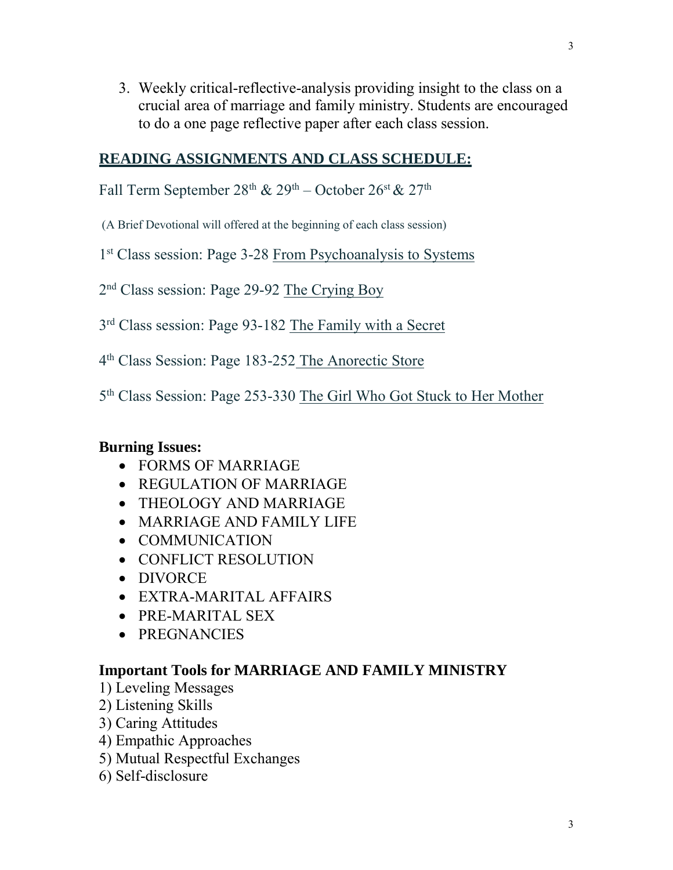3. Weekly critical-reflective-analysis providing insight to the class on a crucial area of marriage and family ministry. Students are encouraged to do a one page reflective paper after each class session.

## **READING ASSIGNMENTS AND CLASS SCHEDULE:**

Fall Term September  $28^{th}$  &  $29^{th}$  – October  $26^{st}$  &  $27^{th}$ 

(A Brief Devotional will offered at the beginning of each class session)

1<sup>st</sup> Class session: Page 3-28 From Psychoanalysis to Systems

2<sup>nd</sup> Class session: Page 29-92 The Crying Boy

3<sup>rd</sup> Class session: Page 93-182 The Family with a Secret

4<sup>th</sup> Class Session: Page 183-252 The Anorectic Store

5<sup>th</sup> Class Session: Page 253-330 The Girl Who Got Stuck to Her Mother

# **Burning Issues:**

- FORMS OF MARRIAGE
- REGULATION OF MARRIAGE
- THEOLOGY AND MARRIAGE
- MARRIAGE AND FAMILY LIFE
- COMMUNICATION
- CONFLICT RESOLUTION
- DIVORCE
- EXTRA-MARITAL AFFAIRS
- PRE-MARITAL SEX
- PREGNANCIES

# **Important Tools for MARRIAGE AND FAMILY MINISTRY**

- 1) Leveling Messages
- 2) Listening Skills
- 3) Caring Attitudes
- 4) Empathic Approaches
- 5) Mutual Respectful Exchanges
- 6) Self-disclosure